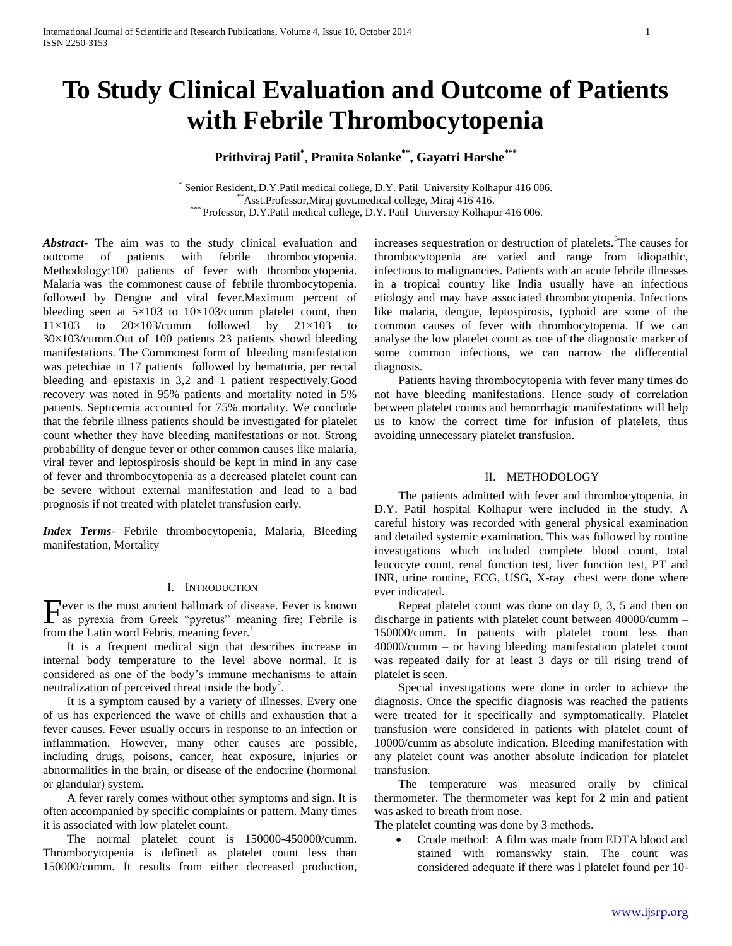# **To Study Clinical Evaluation and Outcome of Patients with Febrile Thrombocytopenia**

# **Prithviraj Patil\* , Pranita Solanke\*\*, Gayatri Harshe\*\*\***

\* Senior Resident,.D.Y.Patil medical college, D.Y. Patil University Kolhapur 416 006.  $*$ Asst.Professor,Miraj govt.medical college, Miraj 416 416. \*\*\* Professor, D.Y.Patil medical college, D.Y. Patil University Kolhapur 416 006.

*Abstract***-** The aim was to the study clinical evaluation and outcome of patients with febrile thrombocytopenia. Methodology:100 patients of fever with thrombocytopenia. Malaria was the commonest cause of febrile thrombocytopenia. followed by Dengue and viral fever.Maximum percent of bleeding seen at  $5\times103$  to  $10\times103$ /cumm platelet count, then  $11\times103$  to  $20\times103$ /cumm followed by  $21\times103$  to 30×103/cumm.Out of 100 patients 23 patients showd bleeding manifestations. The Commonest form of bleeding manifestation was petechiae in 17 patients followed by hematuria, per rectal bleeding and epistaxis in 3,2 and 1 patient respectively.Good recovery was noted in 95% patients and mortality noted in 5% patients. Septicemia accounted for 75% mortality. We conclude that the febrile illness patients should be investigated for platelet count whether they have bleeding manifestations or not. Strong probability of dengue fever or other common causes like malaria, viral fever and leptospirosis should be kept in mind in any case of fever and thrombocytopenia as a decreased platelet count can be severe without external manifestation and lead to a bad prognosis if not treated with platelet transfusion early.

*Index Terms*- Febrile thrombocytopenia, Malaria, Bleeding manifestation, Mortality

#### I. INTRODUCTION

ever is the most ancient hallmark of disease. Fever is known Fever is the most ancient hallmark of disease. Fever is known<br>as pyrexia from Greek "pyretus" meaning fire; Febrile is from the Latin word Febris, meaning fever.<sup>1</sup>

 It is a frequent medical sign that describes increase in internal body temperature to the level above normal. It is considered as one of the body"s immune mechanisms to attain neutralization of perceived threat inside the body<sup>2</sup>.

 It is a symptom caused by a variety of illnesses. Every one of us has experienced the wave of chills and exhaustion that a fever causes. Fever usually occurs in response to an infection or inflammation. However, many other causes are possible, including drugs, poisons, cancer, heat exposure, injuries or abnormalities in the brain, or disease of the endocrine (hormonal or glandular) system.

 A fever rarely comes without other symptoms and sign. It is often accompanied by specific complaints or pattern. Many times it is associated with low platelet count.

 The normal platelet count is 150000-450000/cumm. Thrombocytopenia is defined as platelet count less than 150000/cumm. It results from either decreased production, increases sequestration or destruction of platelets.<sup>3</sup>The causes for thrombocytopenia are varied and range from idiopathic, infectious to malignancies. Patients with an acute febrile illnesses in a tropical country like India usually have an infectious etiology and may have associated thrombocytopenia. Infections like malaria, dengue, leptospirosis, typhoid are some of the common causes of fever with thrombocytopenia. If we can analyse the low platelet count as one of the diagnostic marker of some common infections, we can narrow the differential diagnosis.

 Patients having thrombocytopenia with fever many times do not have bleeding manifestations. Hence study of correlation between platelet counts and hemorrhagic manifestations will help us to know the correct time for infusion of platelets, thus avoiding unnecessary platelet transfusion.

#### II. METHODOLOGY

 The patients admitted with fever and thrombocytopenia, in D.Y. Patil hospital Kolhapur were included in the study. A careful history was recorded with general physical examination and detailed systemic examination. This was followed by routine investigations which included complete blood count, total leucocyte count. renal function test, liver function test, PT and INR, urine routine, ECG, USG, X-ray chest were done where ever indicated.

 Repeat platelet count was done on day 0, 3, 5 and then on discharge in patients with platelet count between 40000/cumm – 150000/cumm. In patients with platelet count less than 40000/cumm – or having bleeding manifestation platelet count was repeated daily for at least 3 days or till rising trend of platelet is seen.

 Special investigations were done in order to achieve the diagnosis. Once the specific diagnosis was reached the patients were treated for it specifically and symptomatically. Platelet transfusion were considered in patients with platelet count of 10000/cumm as absolute indication. Bleeding manifestation with any platelet count was another absolute indication for platelet transfusion.

 The temperature was measured orally by clinical thermometer. The thermometer was kept for 2 min and patient was asked to breath from nose.

The platelet counting was done by 3 methods.

 Crude method: A film was made from EDTA blood and stained with romanswky stain. The count was considered adequate if there was l platelet found per 10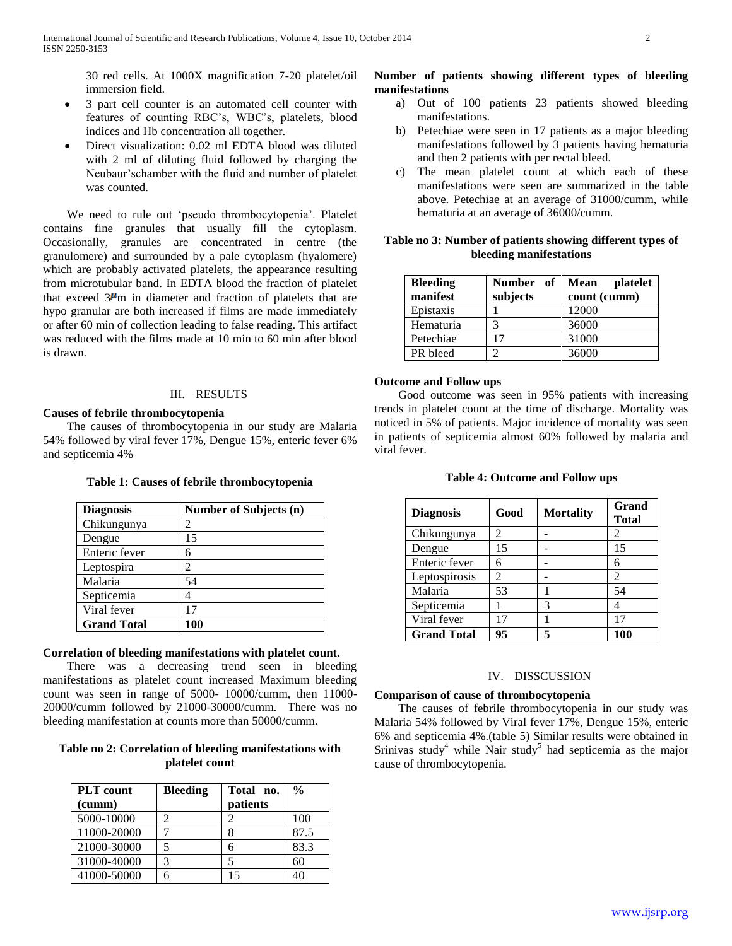30 red cells. At 1000X magnification 7-20 platelet/oil immersion field.

- 3 part cell counter is an automated cell counter with features of counting RBC"s, WBC"s, platelets, blood indices and Hb concentration all together.
- Direct visualization: 0.02 ml EDTA blood was diluted with 2 ml of diluting fluid followed by charging the Neubaur"schamber with the fluid and number of platelet was counted.

We need to rule out 'pseudo thrombocytopenia'. Platelet contains fine granules that usually fill the cytoplasm. Occasionally, granules are concentrated in centre (the granulomere) and surrounded by a pale cytoplasm (hyalomere) which are probably activated platelets, the appearance resulting from microtubular band. In EDTA blood the fraction of platelet that exceed  $3\mu$ m in diameter and fraction of platelets that are hypo granular are both increased if films are made immediately or after 60 min of collection leading to false reading. This artifact was reduced with the films made at 10 min to 60 min after blood is drawn.

## III. RESULTS

## **Causes of febrile thrombocytopenia**

 The causes of thrombocytopenia in our study are Malaria 54% followed by viral fever 17%, Dengue 15%, enteric fever 6% and septicemia 4%

| <b>Diagnosis</b>   | <b>Number of Subjects (n)</b> |
|--------------------|-------------------------------|
| Chikungunya        |                               |
| Dengue             | 15                            |
| Enteric fever      |                               |
| Leptospira         |                               |
| Malaria            | 54                            |
| Septicemia         |                               |
| Viral fever        | 17                            |
| <b>Grand Total</b> | 100                           |

#### **Table 1: Causes of febrile thrombocytopenia**

# **Correlation of bleeding manifestations with platelet count.**

 There was a decreasing trend seen in bleeding manifestations as platelet count increased Maximum bleeding count was seen in range of 5000- 10000/cumm, then 11000- 20000/cumm followed by 21000-30000/cumm. There was no bleeding manifestation at counts more than 50000/cumm.

# **Table no 2: Correlation of bleeding manifestations with platelet count**

| <b>PLT</b> count<br>(cumm) | <b>Bleeding</b> | Total no.<br>patients | $\frac{0}{0}$ |
|----------------------------|-----------------|-----------------------|---------------|
| 5000-10000                 |                 |                       | 100           |
| 11000-20000                |                 |                       | 87.5          |
| 21000-30000                |                 | 6                     | 83.3          |
| 31000-40000                |                 |                       | 60            |
| 41000-50000                |                 |                       |               |

## **Number of patients showing different types of bleeding manifestations**

- a) Out of 100 patients 23 patients showed bleeding manifestations.
- b) Petechiae were seen in 17 patients as a major bleeding manifestations followed by 3 patients having hematuria and then 2 patients with per rectal bleed.
- c) The mean platelet count at which each of these manifestations were seen are summarized in the table above. Petechiae at an average of 31000/cumm, while hematuria at an average of 36000/cumm.

| Table no 3: Number of patients showing different types of |
|-----------------------------------------------------------|
| bleeding manifestations                                   |

| <b>Bleeding</b><br>manifest | Number of<br>subjects | Mean<br>platelet<br>count (cumm) |
|-----------------------------|-----------------------|----------------------------------|
| Epistaxis                   |                       | 12000                            |
| Hematuria                   | 3                     | 36000                            |
| Petechiae                   | 17                    | 31000                            |
| PR bleed                    |                       | 36000                            |

## **Outcome and Follow ups**

 Good outcome was seen in 95% patients with increasing trends in platelet count at the time of discharge. Mortality was noticed in 5% of patients. Major incidence of mortality was seen in patients of septicemia almost 60% followed by malaria and viral fever.

| <b>Diagnosis</b>   | Good           | <b>Mortality</b> | Grand<br><b>Total</b> |
|--------------------|----------------|------------------|-----------------------|
| Chikungunya        | $\mathfrak{D}$ |                  | 2                     |
| Dengue             | 15             |                  | 15                    |
| Enteric fever      | 6              |                  |                       |
| Leptospirosis      | 2              |                  | $\mathfrak{D}$        |
| Malaria            | 53             |                  | 54                    |
| Septicemia         |                | 3                |                       |
| Viral fever        | 17             |                  | 17                    |
| <b>Grand Total</b> | 95             | 5                | 100                   |

#### **Table 4: Outcome and Follow ups**

#### IV. DISSCUSSION

# **Comparison of cause of thrombocytopenia**

 The causes of febrile thrombocytopenia in our study was Malaria 54% followed by Viral fever 17%, Dengue 15%, enteric 6% and septicemia 4%.(table 5) Similar results were obtained in Srinivas study<sup>4</sup> while Nair study<sup>5</sup> had septicemia as the major cause of thrombocytopenia.